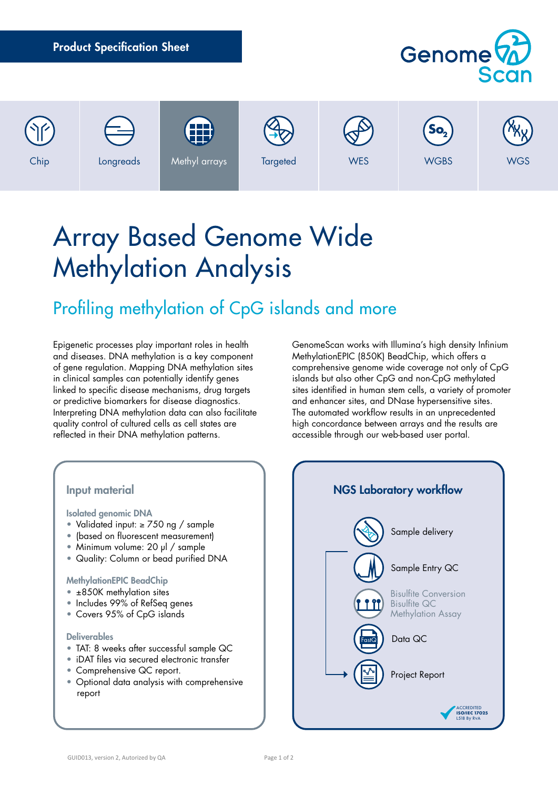|      | <b>Product Specification Sheet</b> |                     |                 |            | Genome <sup>(2)</sup><br>Scan  |            |
|------|------------------------------------|---------------------|-----------------|------------|--------------------------------|------------|
| Chip | Longreads                          | 88<br>Methyl arrays | <b>Targeted</b> | <b>WES</b> | So <sub>2</sub><br><b>WGBS</b> | <b>WGS</b> |

# Array Based Genome Wide Methylation Analysis

# Profiling methylation of CpG islands and more

Epigenetic processes play important roles in health and diseases. DNA methylation is a key component of gene regulation. Mapping DNA methylation sites in clinical samples can potentially identify genes linked to specific disease mechanisms, drug targets or predictive biomarkers for disease diagnostics. Interpreting DNA methylation data can also facilitate quality control of cultured cells as cell states are reflected in their DNA methylation patterns.

GenomeScan works with Illumina's high density Infinium MethylationEPIC (850K) BeadChip, which offers a comprehensive genome wide coverage not only of CpG islands but also other CpG and non-CpG methylated sites identified in human stem cells, a variety of promoter and enhancer sites, and DNase hypersensitive sites. The automated workflow results in an unprecedented high concordance between arrays and the results are accessible through our web-based user portal.